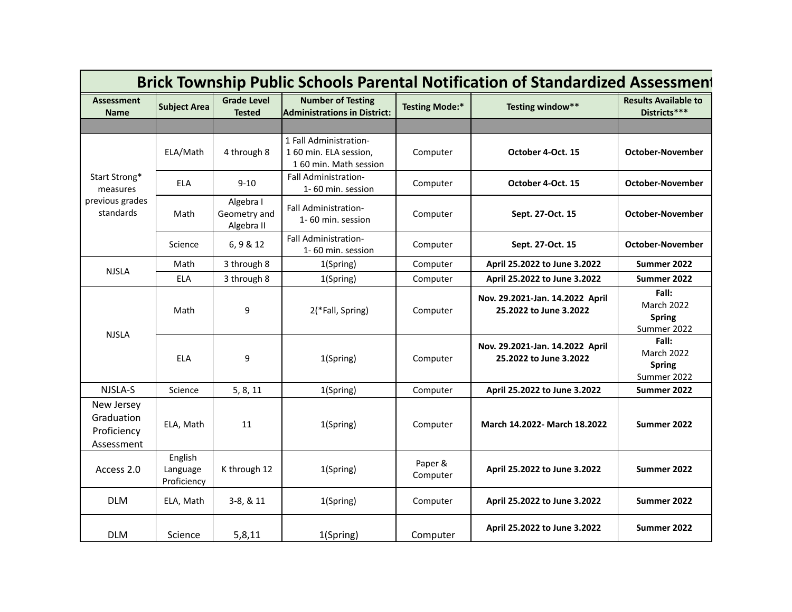|                                                           |                                    |                                         |                                                                           |                       | <b>Brick Township Public Schools Parental Notification of Standardized Assessment</b> |                                                     |
|-----------------------------------------------------------|------------------------------------|-----------------------------------------|---------------------------------------------------------------------------|-----------------------|---------------------------------------------------------------------------------------|-----------------------------------------------------|
| <b>Assessment</b><br><b>Name</b>                          | <b>Subject Area</b>                | <b>Grade Level</b><br><b>Tested</b>     | <b>Number of Testing</b><br><b>Administrations in District:</b>           | <b>Testing Mode:*</b> | Testing window**                                                                      | <b>Results Available to</b><br>Districts***         |
|                                                           |                                    |                                         |                                                                           |                       |                                                                                       |                                                     |
| Start Strong*<br>measures<br>previous grades<br>standards | ELA/Math                           | 4 through 8                             | 1 Fall Administration-<br>1 60 min. ELA session,<br>160 min. Math session | Computer              | October 4-Oct. 15                                                                     | October-November                                    |
|                                                           | <b>ELA</b>                         | $9 - 10$                                | Fall Administration-<br>1-60 min. session                                 | Computer              | October 4-Oct. 15                                                                     | <b>October-November</b>                             |
|                                                           | Math                               | Algebra I<br>Geometry and<br>Algebra II | Fall Administration-<br>1-60 min. session                                 | Computer              | Sept. 27-Oct. 15                                                                      | <b>October-November</b>                             |
|                                                           | Science                            | 6, 9 & 12                               | Fall Administration-<br>1-60 min. session                                 | Computer              | Sept. 27-Oct. 15                                                                      | <b>October-November</b>                             |
| <b>NJSLA</b>                                              | Math                               | 3 through 8                             | 1(Spring)                                                                 | Computer              | April 25.2022 to June 3.2022                                                          | Summer 2022                                         |
|                                                           | <b>ELA</b>                         | 3 through 8                             | 1(Spring)                                                                 | Computer              | April 25.2022 to June 3.2022                                                          | Summer 2022                                         |
|                                                           | Math                               | 9                                       | 2(*Fall, Spring)                                                          | Computer              | Nov. 29.2021-Jan. 14.2022 April<br>25.2022 to June 3.2022                             | Fall:<br>March 2022<br><b>Spring</b><br>Summer 2022 |
| <b>NJSLA</b>                                              | <b>ELA</b>                         | 9                                       | 1(Spring)                                                                 | Computer              | Nov. 29.2021-Jan. 14.2022 April<br>25.2022 to June 3.2022                             | Fall:<br>March 2022<br><b>Spring</b><br>Summer 2022 |
| NJSLA-S                                                   | Science                            | 5, 8, 11                                | 1(Spring)                                                                 | Computer              | April 25.2022 to June 3.2022                                                          | Summer 2022                                         |
| New Jersey<br>Graduation<br>Proficiency<br>Assessment     | ELA, Math                          | 11                                      | 1(Spring)                                                                 | Computer              | March 14.2022- March 18.2022                                                          | Summer 2022                                         |
| Access 2.0                                                | English<br>Language<br>Proficiency | K through 12                            | 1(Spring)                                                                 | Paper &<br>Computer   | April 25.2022 to June 3.2022                                                          | Summer 2022                                         |
| <b>DLM</b>                                                | ELA, Math                          | 3-8, & 11                               | 1(Spring)                                                                 | Computer              | April 25.2022 to June 3.2022                                                          | Summer 2022                                         |
| <b>DLM</b>                                                | Science                            | 5,8,11                                  | 1(Spring)                                                                 | Computer              | April 25.2022 to June 3.2022                                                          | Summer 2022                                         |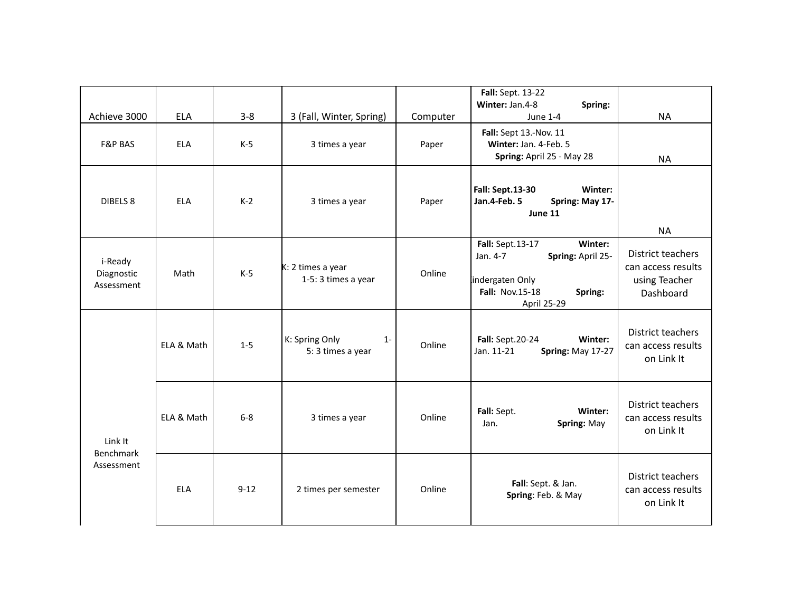| Achieve 3000                        | <b>ELA</b> | $3 - 8$  | 3 (Fall, Winter, Spring)                     | Computer | Fall: Sept. 13-22<br>Winter: Jan.4-8<br>Spring:<br><b>June 1-4</b>                                                                  | <b>NA</b>                                                             |
|-------------------------------------|------------|----------|----------------------------------------------|----------|-------------------------------------------------------------------------------------------------------------------------------------|-----------------------------------------------------------------------|
| <b>F&amp;P BAS</b>                  | <b>ELA</b> | $K-5$    | 3 times a year                               | Paper    | Fall: Sept 13.-Nov. 11<br>Winter: Jan. 4-Feb. 5<br>Spring: April 25 - May 28                                                        | <b>NA</b>                                                             |
| DIBELS <sub>8</sub>                 | <b>ELA</b> | $K-2$    | 3 times a year                               | Paper    | Winter:<br><b>Fall: Sept.13-30</b><br>Jan.4-Feb. 5<br>Spring: May 17-<br>June 11                                                    | <b>NA</b>                                                             |
| i-Ready<br>Diagnostic<br>Assessment | Math       | $K-5$    | K: 2 times a year<br>1-5: 3 times a year     | Online   | Winter:<br>Fall: Sept.13-17<br>Jan. 4-7<br>Spring: April 25-<br>indergaten Only<br><b>Fall: Nov.15-18</b><br>Spring:<br>April 25-29 | District teachers<br>can access results<br>using Teacher<br>Dashboard |
|                                     | ELA & Math | $1 - 5$  | K: Spring Only<br>$1 -$<br>5: 3 times a year | Online   | <b>Fall:</b> Sept.20-24<br>Winter:<br>Jan. 11-21<br>Spring: May 17-27                                                               | District teachers<br>can access results<br>on Link It                 |
| Link It<br><b>Benchmark</b>         | ELA & Math | $6-8$    | 3 times a year                               | Online   | Winter:<br>Fall: Sept.<br>Spring: May<br>Jan.                                                                                       | <b>District teachers</b><br>can access results<br>on Link It          |
| Assessment                          | <b>ELA</b> | $9 - 12$ | 2 times per semester                         | Online   | Fall: Sept. & Jan.<br>Spring: Feb. & May                                                                                            | District teachers<br>can access results<br>on Link It                 |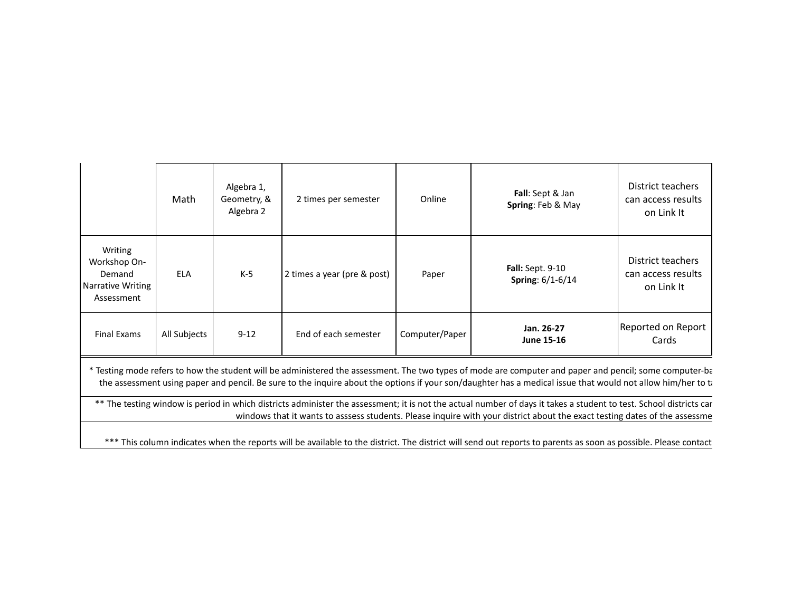|                                                                      | Math         | Algebra 1,<br>Geometry, &<br>Algebra 2 | 2 times per semester        | Online         | Fall: Sept & Jan<br>Spring: Feb & May       | District teachers<br>can access results<br>on Link It |
|----------------------------------------------------------------------|--------------|----------------------------------------|-----------------------------|----------------|---------------------------------------------|-------------------------------------------------------|
| Writing<br>Workshop On-<br>Demand<br>Narrative Writing<br>Assessment | <b>ELA</b>   | $K-5$                                  | 2 times a year (pre & post) | Paper          | <b>Fall:</b> Sept. 9-10<br>Spring: 6/1-6/14 | District teachers<br>can access results<br>on Link It |
| <b>Final Exams</b>                                                   | All Subjects | $9 - 12$                               | End of each semester        | Computer/Paper | Jan. 26-27<br><b>June 15-16</b>             | Reported on Report<br>Cards                           |

\* Testing mode refers to how the student will be administered the assessment. The two types of mode are computer and paper and pencil; some computer-ba the assessment using paper and pencil. Be sure to the inquire about the options if your son/daughter has a medical issue that would not allow him/her to take the tom

\*\* The testing window is period in which districts administer the assessment; it is not the actual number of days it takes a student to test. School districts car windows that it wants to asssess students. Please inquire with your district about the exact testing dates of the assessme

\*\*\* This column indicates when the reports will be available to the district. The district will send out reports to parents as soon as possible. Please contact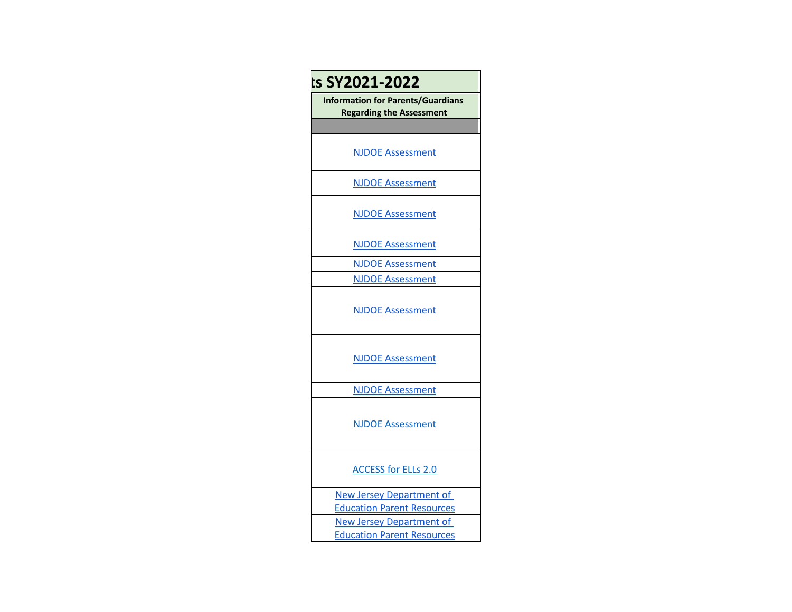| ts SY2021-2022                                                              |
|-----------------------------------------------------------------------------|
| <b>Information for Parents/Guardians</b><br><b>Regarding the Assessment</b> |
|                                                                             |
| <b>NJDOE Assessment</b>                                                     |
| <b>NJDOE Assessment</b>                                                     |
| <b>NJDOE Assessment</b>                                                     |
| <b>NJDOE Assessment</b>                                                     |
| <b>NJDOE Assessment</b>                                                     |
| <b>NJDOE Assessment</b>                                                     |
| <b>NJDOE Assessment</b>                                                     |
| <b>NJDOE Assessment</b>                                                     |
| <b>NJDOE Assessment</b>                                                     |
| <b>NJDOE Assessment</b>                                                     |
| <b>ACCESS for ELLs 2.0</b>                                                  |
| <b>New Jersey Department of</b><br><b>Education Parent Resources</b>        |
| <b>New Jersey Department of</b>                                             |
| <b>Education Parent Resources</b>                                           |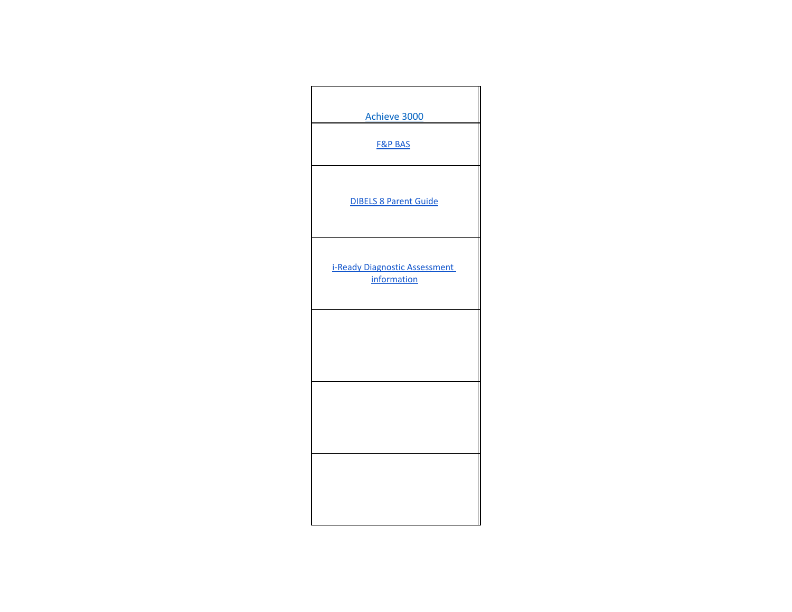| Achieve 3000                                 |
|----------------------------------------------|
| <b>F&amp;P BAS</b>                           |
| <b>DIBELS 8 Parent Guide</b>                 |
| i-Ready Diagnostic Assessment<br>information |
|                                              |
|                                              |
|                                              |